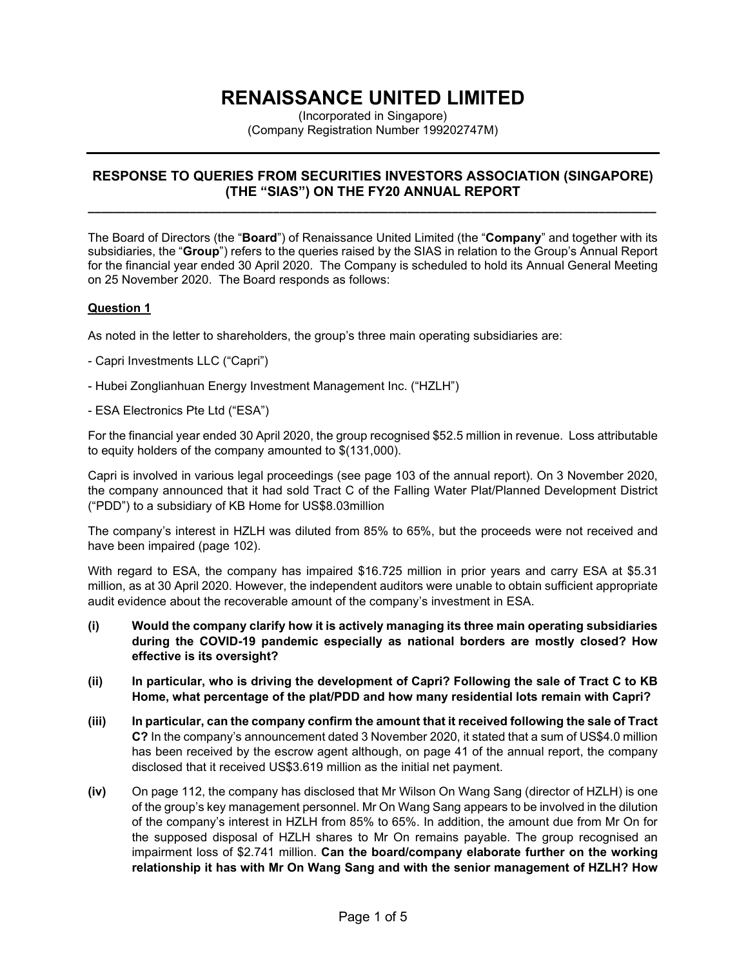# **RENAISSANCE UNITED LIMITED**

(Incorporated in Singapore) (Company Registration Number 199202747M)

## **RESPONSE TO QUERIES FROM SECURITIES INVESTORS ASSOCIATION (SINGAPORE) (THE "SIAS") ON THE FY20 ANNUAL REPORT**

**\_\_\_\_\_\_\_\_\_\_\_\_\_\_\_\_\_\_\_\_\_\_\_\_\_\_\_\_\_\_\_\_\_\_\_\_\_\_\_\_\_\_\_\_\_\_\_\_\_\_\_\_\_\_\_\_\_\_\_\_\_\_\_\_\_\_\_\_\_\_\_\_\_\_\_\_\_\_\_\_\_\_\_\_\_\_\_\_\_**

The Board of Directors (the "**Board**") of Renaissance United Limited (the "**Company**" and together with its subsidiaries, the "**Group**") refers to the queries raised by the SIAS in relation to the Group's Annual Report for the financial year ended 30 April 2020. The Company is scheduled to hold its Annual General Meeting on 25 November 2020. The Board responds as follows:

## **Question 1**

As noted in the letter to shareholders, the group's three main operating subsidiaries are:

- Capri Investments LLC ("Capri")
- Hubei Zonglianhuan Energy Investment Management Inc. ("HZLH")
- ESA Electronics Pte Ltd ("ESA")

For the financial year ended 30 April 2020, the group recognised \$52.5 million in revenue. Loss attributable to equity holders of the company amounted to \$(131,000).

Capri is involved in various legal proceedings (see page 103 of the annual report). On 3 November 2020, the company announced that it had sold Tract C of the Falling Water Plat/Planned Development District ("PDD") to a subsidiary of KB Home for US\$8.03million

The company's interest in HZLH was diluted from 85% to 65%, but the proceeds were not received and have been impaired (page 102).

With regard to ESA, the company has impaired \$16.725 million in prior years and carry ESA at \$5.31 million, as at 30 April 2020. However, the independent auditors were unable to obtain sufficient appropriate audit evidence about the recoverable amount of the company's investment in ESA.

- **(i) Would the company clarify how it is actively managing its three main operating subsidiaries during the COVID-19 pandemic especially as national borders are mostly closed? How effective is its oversight?**
- **(ii) In particular, who is driving the development of Capri? Following the sale of Tract C to KB Home, what percentage of the plat/PDD and how many residential lots remain with Capri?**
- **(iii) In particular, can the company confirm the amount that it received following the sale of Tract C?** In the company's announcement dated 3 November 2020, it stated that a sum of US\$4.0 million has been received by the escrow agent although, on page 41 of the annual report, the company disclosed that it received US\$3.619 million as the initial net payment.
- **(iv)** On page 112, the company has disclosed that Mr Wilson On Wang Sang (director of HZLH) is one of the group's key management personnel. Mr On Wang Sang appears to be involved in the dilution of the company's interest in HZLH from 85% to 65%. In addition, the amount due from Mr On for the supposed disposal of HZLH shares to Mr On remains payable. The group recognised an impairment loss of \$2.741 million. **Can the board/company elaborate further on the working relationship it has with Mr On Wang Sang and with the senior management of HZLH? How**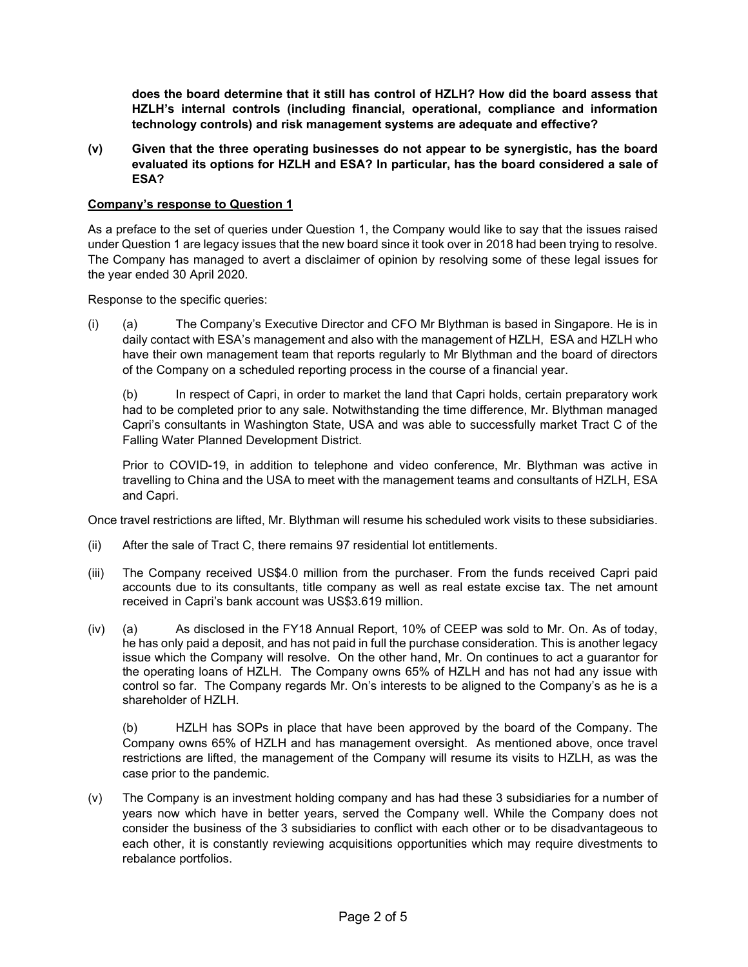**does the board determine that it still has control of HZLH? How did the board assess that HZLH's internal controls (including financial, operational, compliance and information technology controls) and risk management systems are adequate and effective?**

**(v) Given that the three operating businesses do not appear to be synergistic, has the board evaluated its options for HZLH and ESA? In particular, has the board considered a sale of ESA?**

#### **Company's response to Question 1**

As a preface to the set of queries under Question 1, the Company would like to say that the issues raised under Question 1 are legacy issues that the new board since it took over in 2018 had been trying to resolve. The Company has managed to avert a disclaimer of opinion by resolving some of these legal issues for the year ended 30 April 2020.

Response to the specific queries:

(i) (a) The Company's Executive Director and CFO Mr Blythman is based in Singapore. He is in daily contact with ESA's management and also with the management of HZLH, ESA and HZLH who have their own management team that reports regularly to Mr Blythman and the board of directors of the Company on a scheduled reporting process in the course of a financial year.

(b) In respect of Capri, in order to market the land that Capri holds, certain preparatory work had to be completed prior to any sale. Notwithstanding the time difference, Mr. Blythman managed Capri's consultants in Washington State, USA and was able to successfully market Tract C of the Falling Water Planned Development District.

Prior to COVID-19, in addition to telephone and video conference, Mr. Blythman was active in travelling to China and the USA to meet with the management teams and consultants of HZLH, ESA and Capri.

Once travel restrictions are lifted, Mr. Blythman will resume his scheduled work visits to these subsidiaries.

- (ii) After the sale of Tract C, there remains 97 residential lot entitlements.
- (iii) The Company received US\$4.0 million from the purchaser. From the funds received Capri paid accounts due to its consultants, title company as well as real estate excise tax. The net amount received in Capri's bank account was US\$3.619 million.
- (iv) (a) As disclosed in the FY18 Annual Report, 10% of CEEP was sold to Mr. On. As of today, he has only paid a deposit, and has not paid in full the purchase consideration. This is another legacy issue which the Company will resolve. On the other hand, Mr. On continues to act a guarantor for the operating loans of HZLH. The Company owns 65% of HZLH and has not had any issue with control so far. The Company regards Mr. On's interests to be aligned to the Company's as he is a shareholder of HZLH.

(b) HZLH has SOPs in place that have been approved by the board of the Company. The Company owns 65% of HZLH and has management oversight. As mentioned above, once travel restrictions are lifted, the management of the Company will resume its visits to HZLH, as was the case prior to the pandemic.

(v) The Company is an investment holding company and has had these 3 subsidiaries for a number of years now which have in better years, served the Company well. While the Company does not consider the business of the 3 subsidiaries to conflict with each other or to be disadvantageous to each other, it is constantly reviewing acquisitions opportunities which may require divestments to rebalance portfolios.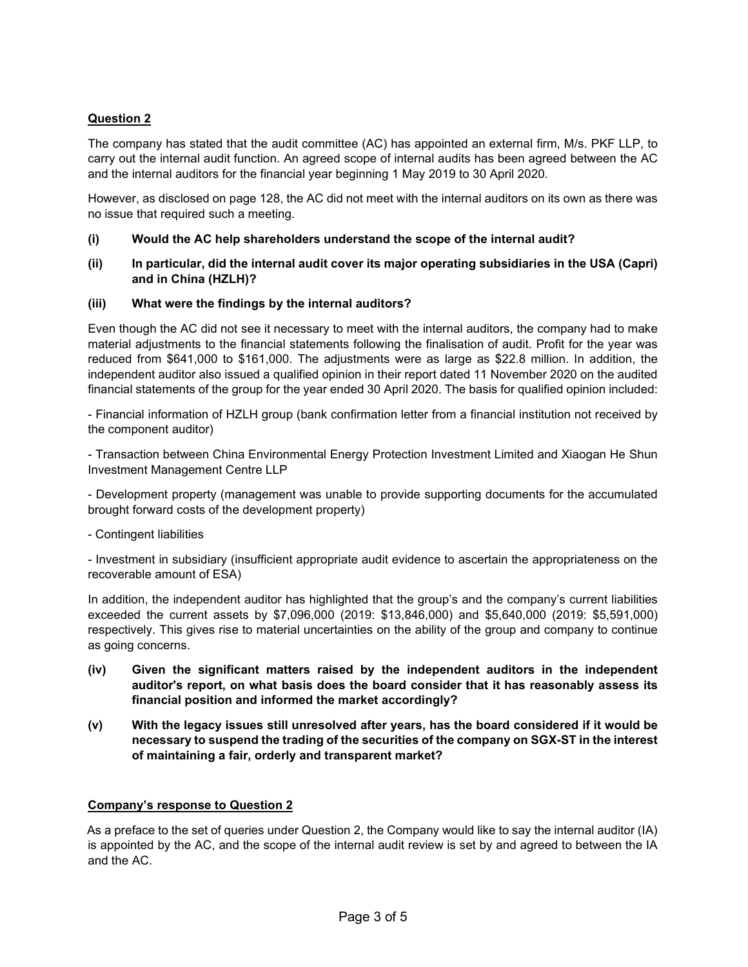# **Question 2**

The company has stated that the audit committee (AC) has appointed an external firm, M/s. PKF LLP, to carry out the internal audit function. An agreed scope of internal audits has been agreed between the AC and the internal auditors for the financial year beginning 1 May 2019 to 30 April 2020.

However, as disclosed on page 128, the AC did not meet with the internal auditors on its own as there was no issue that required such a meeting.

- **(i) Would the AC help shareholders understand the scope of the internal audit?**
- **(ii) In particular, did the internal audit cover its major operating subsidiaries in the USA (Capri) and in China (HZLH)?**

## **(iii) What were the findings by the internal auditors?**

Even though the AC did not see it necessary to meet with the internal auditors, the company had to make material adjustments to the financial statements following the finalisation of audit. Profit for the year was reduced from \$641,000 to \$161,000. The adjustments were as large as \$22.8 million. In addition, the independent auditor also issued a qualified opinion in their report dated 11 November 2020 on the audited financial statements of the group for the year ended 30 April 2020. The basis for qualified opinion included:

- Financial information of HZLH group (bank confirmation letter from a financial institution not received by the component auditor)

- Transaction between China Environmental Energy Protection Investment Limited and Xiaogan He Shun Investment Management Centre LLP

- Development property (management was unable to provide supporting documents for the accumulated brought forward costs of the development property)

- Contingent liabilities

- Investment in subsidiary (insufficient appropriate audit evidence to ascertain the appropriateness on the recoverable amount of ESA)

In addition, the independent auditor has highlighted that the group's and the company's current liabilities exceeded the current assets by \$7,096,000 (2019: \$13,846,000) and \$5,640,000 (2019: \$5,591,000) respectively. This gives rise to material uncertainties on the ability of the group and company to continue as going concerns.

- **(iv) Given the significant matters raised by the independent auditors in the independent auditor's report, on what basis does the board consider that it has reasonably assess its financial position and informed the market accordingly?**
- **(v) With the legacy issues still unresolved after years, has the board considered if it would be necessary to suspend the trading of the securities of the company on SGX-ST in the interest of maintaining a fair, orderly and transparent market?**

## **Company's response to Question 2**

As a preface to the set of queries under Question 2, the Company would like to say the internal auditor (IA) is appointed by the AC, and the scope of the internal audit review is set by and agreed to between the IA and the AC.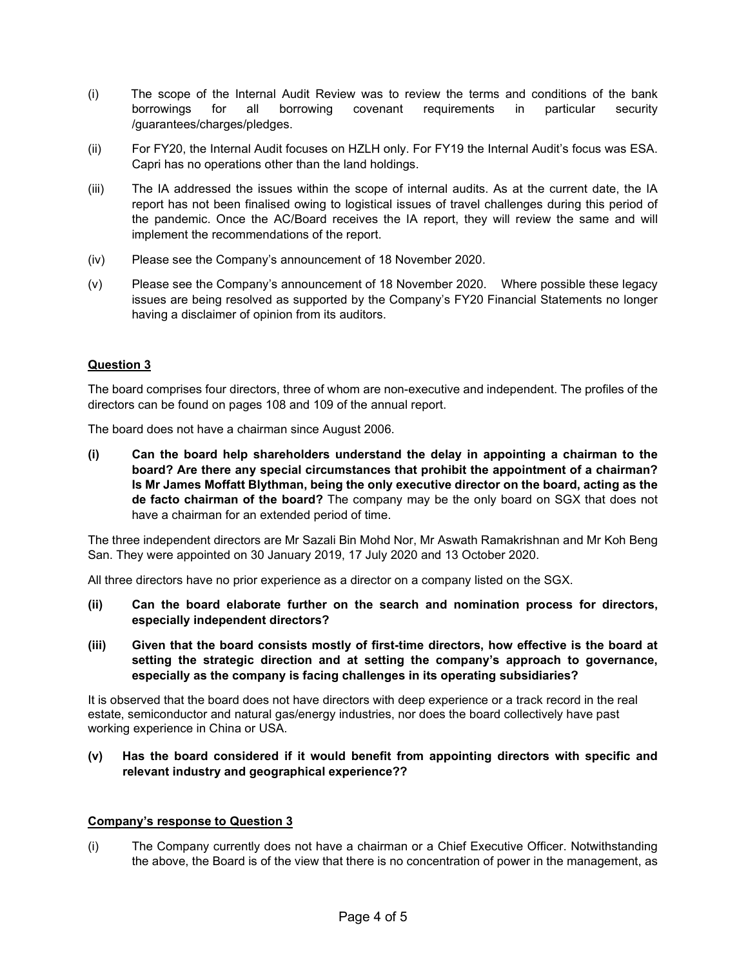- (i) The scope of the Internal Audit Review was to review the terms and conditions of the bank borrowings for all borrowing covenant requirements in particular security /guarantees/charges/pledges.
- (ii) For FY20, the Internal Audit focuses on HZLH only. For FY19 the Internal Audit's focus was ESA. Capri has no operations other than the land holdings.
- (iii) The IA addressed the issues within the scope of internal audits. As at the current date, the IA report has not been finalised owing to logistical issues of travel challenges during this period of the pandemic. Once the AC/Board receives the IA report, they will review the same and will implement the recommendations of the report.
- (iv) Please see the Company's announcement of 18 November 2020.
- (v) Please see the Company's announcement of 18 November 2020. Where possible these legacy issues are being resolved as supported by the Company's FY20 Financial Statements no longer having a disclaimer of opinion from its auditors.

## **Question 3**

The board comprises four directors, three of whom are non-executive and independent. The profiles of the directors can be found on pages 108 and 109 of the annual report.

The board does not have a chairman since August 2006.

**(i) Can the board help shareholders understand the delay in appointing a chairman to the board? Are there any special circumstances that prohibit the appointment of a chairman? Is Mr James Moffatt Blythman, being the only executive director on the board, acting as the de facto chairman of the board?** The company may be the only board on SGX that does not have a chairman for an extended period of time.

The three independent directors are Mr Sazali Bin Mohd Nor, Mr Aswath Ramakrishnan and Mr Koh Beng San. They were appointed on 30 January 2019, 17 July 2020 and 13 October 2020.

All three directors have no prior experience as a director on a company listed on the SGX.

- **(ii) Can the board elaborate further on the search and nomination process for directors, especially independent directors?**
- **(iii) Given that the board consists mostly of first-time directors, how effective is the board at setting the strategic direction and at setting the company's approach to governance, especially as the company is facing challenges in its operating subsidiaries?**

It is observed that the board does not have directors with deep experience or a track record in the real estate, semiconductor and natural gas/energy industries, nor does the board collectively have past working experience in China or USA.

#### **(v) Has the board considered if it would benefit from appointing directors with specific and relevant industry and geographical experience??**

#### **Company's response to Question 3**

(i) The Company currently does not have a chairman or a Chief Executive Officer. Notwithstanding the above, the Board is of the view that there is no concentration of power in the management, as